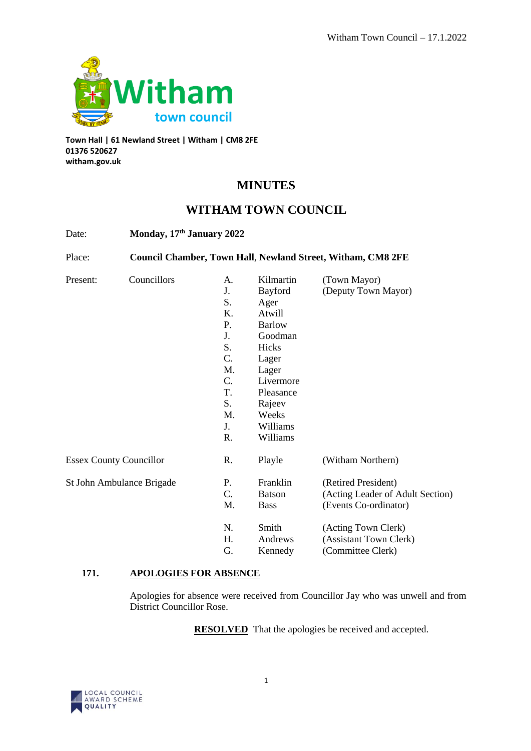

**Town Hall | 61 Newland Street | Witham | CM8 2FE 01376 520627 witham.gov.uk**

# **MINUTES**

## **WITHAM TOWN COUNCIL**

| Date:                          | Monday, 17th January 2022<br><b>Council Chamber, Town Hall, Newland Street, Witham, CM8 2FE</b> |    |               |                                  |
|--------------------------------|-------------------------------------------------------------------------------------------------|----|---------------|----------------------------------|
| Place:                         |                                                                                                 |    |               |                                  |
| Present:                       | Councillors                                                                                     | А. | Kilmartin     | (Town Mayor)                     |
|                                |                                                                                                 | J. | Bayford       | (Deputy Town Mayor)              |
|                                |                                                                                                 | S. | Ager          |                                  |
|                                |                                                                                                 | K. | Atwill        |                                  |
|                                |                                                                                                 | P. | <b>Barlow</b> |                                  |
|                                |                                                                                                 | J. | Goodman       |                                  |
|                                |                                                                                                 | S. | Hicks         |                                  |
|                                |                                                                                                 | C. | Lager         |                                  |
|                                |                                                                                                 | M. | Lager         |                                  |
|                                |                                                                                                 | C. | Livermore     |                                  |
|                                |                                                                                                 | T. | Pleasance     |                                  |
|                                |                                                                                                 | S. | Rajeev        |                                  |
|                                |                                                                                                 | M. | Weeks         |                                  |
|                                |                                                                                                 | J. | Williams      |                                  |
|                                |                                                                                                 | R. | Williams      |                                  |
| <b>Essex County Councillor</b> |                                                                                                 | R. | Playle        | (Witham Northern)                |
| St John Ambulance Brigade      |                                                                                                 | Ρ. | Franklin      | (Retired President)              |
|                                |                                                                                                 | C. | <b>Batson</b> | (Acting Leader of Adult Section) |
|                                |                                                                                                 | M. | <b>Bass</b>   | (Events Co-ordinator)            |
|                                |                                                                                                 | N. | Smith         | (Acting Town Clerk)              |
|                                |                                                                                                 | H. | Andrews       | (Assistant Town Clerk)           |
|                                |                                                                                                 | G. | Kennedy       | (Committee Clerk)                |

## **171. APOLOGIES FOR ABSENCE**

Apologies for absence were received from Councillor Jay who was unwell and from District Councillor Rose.

**RESOLVED** That the apologies be received and accepted.

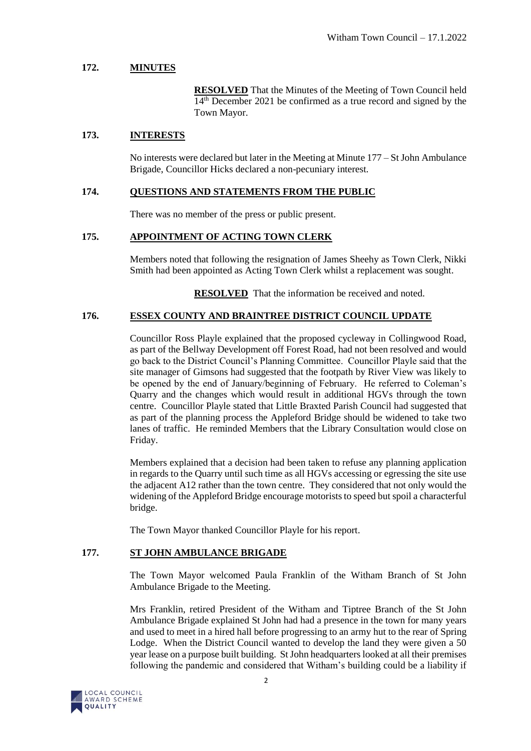#### **172. MINUTES**

**RESOLVED** That the Minutes of the Meeting of Town Council held 14<sup>th</sup> December 2021 be confirmed as a true record and signed by the Town Mayor.

#### **173. INTERESTS**

No interests were declared but later in the Meeting at Minute 177 – St John Ambulance Brigade, Councillor Hicks declared a non-pecuniary interest.

#### **174. QUESTIONS AND STATEMENTS FROM THE PUBLIC**

There was no member of the press or public present.

#### **175. APPOINTMENT OF ACTING TOWN CLERK**

Members noted that following the resignation of James Sheehy as Town Clerk, Nikki Smith had been appointed as Acting Town Clerk whilst a replacement was sought.

**RESOLVED** That the information be received and noted.

#### **176. ESSEX COUNTY AND BRAINTREE DISTRICT COUNCIL UPDATE**

Councillor Ross Playle explained that the proposed cycleway in Collingwood Road, as part of the Bellway Development off Forest Road, had not been resolved and would go back to the District Council's Planning Committee. Councillor Playle said that the site manager of Gimsons had suggested that the footpath by River View was likely to be opened by the end of January/beginning of February. He referred to Coleman's Quarry and the changes which would result in additional HGVs through the town centre. Councillor Playle stated that Little Braxted Parish Council had suggested that as part of the planning process the Appleford Bridge should be widened to take two lanes of traffic. He reminded Members that the Library Consultation would close on Friday.

Members explained that a decision had been taken to refuse any planning application in regards to the Quarry until such time as all HGVs accessing or egressing the site use the adjacent A12 rather than the town centre. They considered that not only would the widening of the Appleford Bridge encourage motorists to speed but spoil a characterful bridge.

The Town Mayor thanked Councillor Playle for his report.

#### **177. ST JOHN AMBULANCE BRIGADE**

The Town Mayor welcomed Paula Franklin of the Witham Branch of St John Ambulance Brigade to the Meeting.

Mrs Franklin, retired President of the Witham and Tiptree Branch of the St John Ambulance Brigade explained St John had had a presence in the town for many years and used to meet in a hired hall before progressing to an army hut to the rear of Spring Lodge. When the District Council wanted to develop the land they were given a 50 year lease on a purpose built building. St John headquarters looked at all their premises following the pandemic and considered that Witham's building could be a liability if

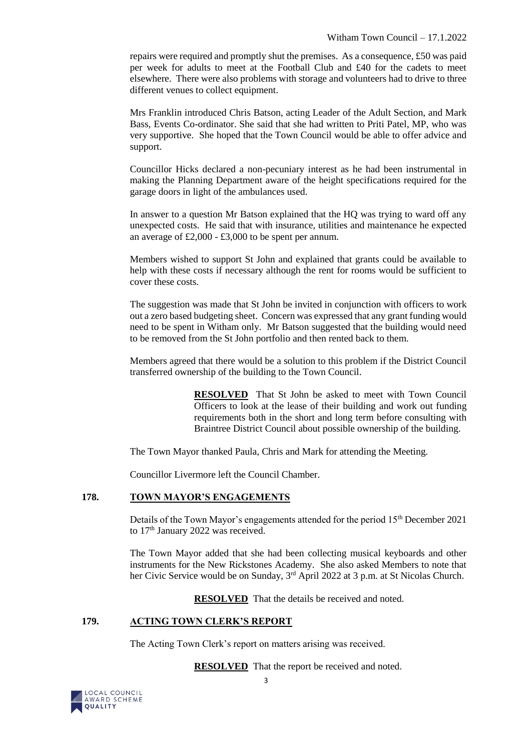repairs were required and promptly shut the premises. As a consequence, £50 was paid per week for adults to meet at the Football Club and £40 for the cadets to meet elsewhere. There were also problems with storage and volunteers had to drive to three different venues to collect equipment.

Mrs Franklin introduced Chris Batson, acting Leader of the Adult Section, and Mark Bass, Events Co-ordinator. She said that she had written to Priti Patel, MP, who was very supportive. She hoped that the Town Council would be able to offer advice and support.

Councillor Hicks declared a non-pecuniary interest as he had been instrumental in making the Planning Department aware of the height specifications required for the garage doors in light of the ambulances used.

In answer to a question Mr Batson explained that the HQ was trying to ward off any unexpected costs. He said that with insurance, utilities and maintenance he expected an average of  $£2,000 - £3,000$  to be spent per annum.

Members wished to support St John and explained that grants could be available to help with these costs if necessary although the rent for rooms would be sufficient to cover these costs.

The suggestion was made that St John be invited in conjunction with officers to work out a zero based budgeting sheet. Concern was expressed that any grant funding would need to be spent in Witham only. Mr Batson suggested that the building would need to be removed from the St John portfolio and then rented back to them.

Members agreed that there would be a solution to this problem if the District Council transferred ownership of the building to the Town Council.

> **RESOLVED** That St John be asked to meet with Town Council Officers to look at the lease of their building and work out funding requirements both in the short and long term before consulting with Braintree District Council about possible ownership of the building.

The Town Mayor thanked Paula, Chris and Mark for attending the Meeting.

Councillor Livermore left the Council Chamber.

#### **178. TOWN MAYOR'S ENGAGEMENTS**

Details of the Town Mayor's engagements attended for the period 15<sup>th</sup> December 2021 to 17<sup>th</sup> January 2022 was received.

The Town Mayor added that she had been collecting musical keyboards and other instruments for the New Rickstones Academy. She also asked Members to note that her Civic Service would be on Sunday, 3<sup>rd</sup> April 2022 at 3 p.m. at St Nicolas Church.

**RESOLVED** That the details be received and noted.

## **179. ACTING TOWN CLERK'S REPORT**

The Acting Town Clerk's report on matters arising was received.

**RESOLVED** That the report be received and noted.

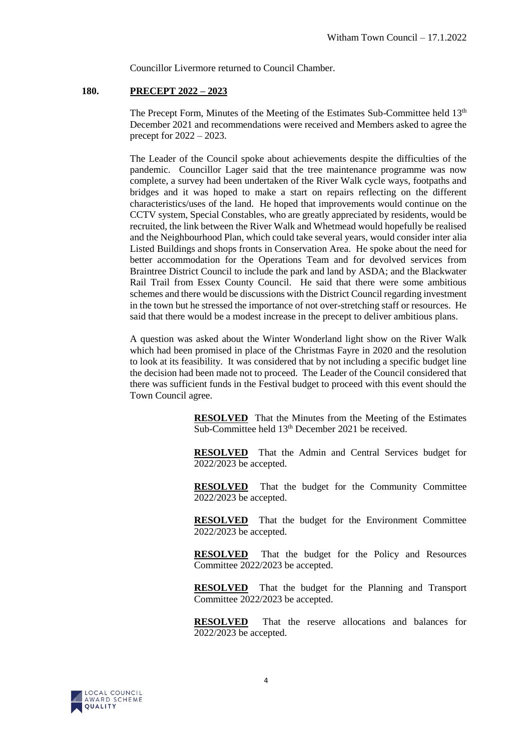Councillor Livermore returned to Council Chamber.

#### **180. PRECEPT 2022 – 2023**

The Precept Form, Minutes of the Meeting of the Estimates Sub-Committee held  $13<sup>th</sup>$ December 2021 and recommendations were received and Members asked to agree the precept for 2022 – 2023.

The Leader of the Council spoke about achievements despite the difficulties of the pandemic. Councillor Lager said that the tree maintenance programme was now complete, a survey had been undertaken of the River Walk cycle ways, footpaths and bridges and it was hoped to make a start on repairs reflecting on the different characteristics/uses of the land. He hoped that improvements would continue on the CCTV system, Special Constables, who are greatly appreciated by residents, would be recruited, the link between the River Walk and Whetmead would hopefully be realised and the Neighbourhood Plan, which could take several years, would consider inter alia Listed Buildings and shops fronts in Conservation Area. He spoke about the need for better accommodation for the Operations Team and for devolved services from Braintree District Council to include the park and land by ASDA; and the Blackwater Rail Trail from Essex County Council. He said that there were some ambitious schemes and there would be discussions with the District Council regarding investment in the town but he stressed the importance of not over-stretching staff or resources. He said that there would be a modest increase in the precept to deliver ambitious plans.

A question was asked about the Winter Wonderland light show on the River Walk which had been promised in place of the Christmas Fayre in 2020 and the resolution to look at its feasibility. It was considered that by not including a specific budget line the decision had been made not to proceed. The Leader of the Council considered that there was sufficient funds in the Festival budget to proceed with this event should the Town Council agree.

> **RESOLVED** That the Minutes from the Meeting of the Estimates Sub-Committee held 13<sup>th</sup> December 2021 be received.

> **RESOLVED** That the Admin and Central Services budget for 2022/2023 be accepted.

> **RESOLVED** That the budget for the Community Committee 2022/2023 be accepted.

> **RESOLVED** That the budget for the Environment Committee 2022/2023 be accepted.

> **RESOLVED** That the budget for the Policy and Resources Committee 2022/2023 be accepted.

> **RESOLVED** That the budget for the Planning and Transport Committee 2022/2023 be accepted.

> **RESOLVED** That the reserve allocations and balances for 2022/2023 be accepted.

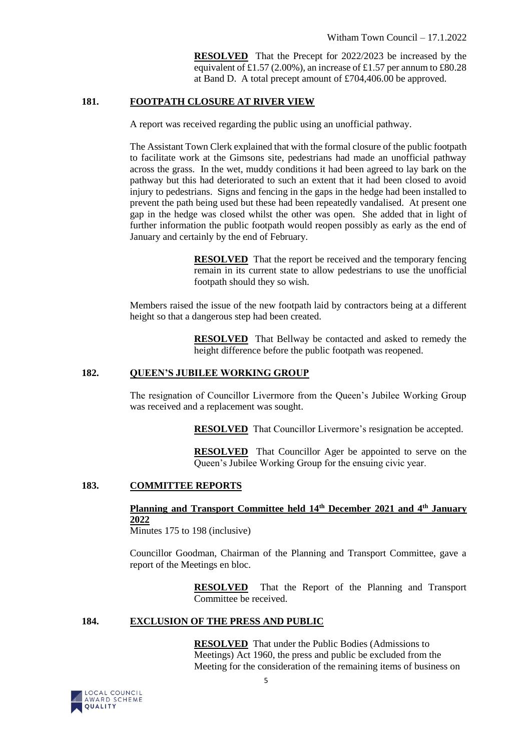**RESOLVED** That the Precept for 2022/2023 be increased by the equivalent of £1.57 (2.00%), an increase of £1.57 per annum to £80.28 at Band D. A total precept amount of £704,406.00 be approved.

#### **181. FOOTPATH CLOSURE AT RIVER VIEW**

A report was received regarding the public using an unofficial pathway.

The Assistant Town Clerk explained that with the formal closure of the public footpath to facilitate work at the Gimsons site, pedestrians had made an unofficial pathway across the grass. In the wet, muddy conditions it had been agreed to lay bark on the pathway but this had deteriorated to such an extent that it had been closed to avoid injury to pedestrians. Signs and fencing in the gaps in the hedge had been installed to prevent the path being used but these had been repeatedly vandalised. At present one gap in the hedge was closed whilst the other was open. She added that in light of further information the public footpath would reopen possibly as early as the end of January and certainly by the end of February.

> **RESOLVED** That the report be received and the temporary fencing remain in its current state to allow pedestrians to use the unofficial footpath should they so wish.

Members raised the issue of the new footpath laid by contractors being at a different height so that a dangerous step had been created.

> **RESOLVED** That Bellway be contacted and asked to remedy the height difference before the public footpath was reopened.

#### **182. QUEEN'S JUBILEE WORKING GROUP**

The resignation of Councillor Livermore from the Queen's Jubilee Working Group was received and a replacement was sought.

**RESOLVED** That Councillor Livermore's resignation be accepted.

**RESOLVED** That Councillor Ager be appointed to serve on the Queen's Jubilee Working Group for the ensuing civic year.

#### **183. COMMITTEE REPORTS**

**Planning and Transport Committee held 14th December 2021 and 4th January 2022** 

Minutes 175 to 198 (inclusive)

Councillor Goodman, Chairman of the Planning and Transport Committee, gave a report of the Meetings en bloc.

> **RESOLVED** That the Report of the Planning and Transport Committee be received.

#### **184. EXCLUSION OF THE PRESS AND PUBLIC**

**RESOLVED** That under the Public Bodies (Admissions to Meetings) Act 1960, the press and public be excluded from the Meeting for the consideration of the remaining items of business on